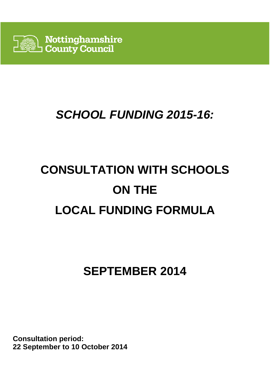

# **SCHOOL FUNDING 2015-16:**

# **CONSULTATION WITH SCHOOLS ON THE LOCAL FUNDING FORMULA**

# **SEPTEMBER 2014**

**Consultation period: 22 September to 10 October 2014**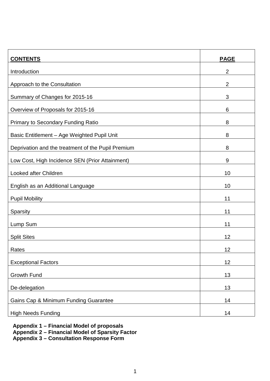| <b>CONTENTS</b>                                    | <b>PAGE</b>    |
|----------------------------------------------------|----------------|
| Introduction                                       | $\overline{2}$ |
| Approach to the Consultation                       | $\overline{2}$ |
| Summary of Changes for 2015-16                     | 3              |
| Overview of Proposals for 2015-16                  | 6              |
| <b>Primary to Secondary Funding Ratio</b>          | 8              |
| Basic Entitlement - Age Weighted Pupil Unit        | 8              |
| Deprivation and the treatment of the Pupil Premium | 8              |
| Low Cost, High Incidence SEN (Prior Attainment)    | 9              |
| Looked after Children                              | 10             |
| English as an Additional Language                  | 10             |
| <b>Pupil Mobility</b>                              | 11             |
| Sparsity                                           | 11             |
| Lump Sum                                           | 11             |
| <b>Split Sites</b>                                 | 12             |
| Rates                                              | 12             |
| <b>Exceptional Factors</b>                         | 12             |
| <b>Growth Fund</b>                                 | 13             |
| De-delegation                                      | 13             |
| Gains Cap & Minimum Funding Guarantee              | 14             |
| <b>High Needs Funding</b>                          | 14             |

**Appendix 1 – Financial Model of proposals** 

**Appendix 2 – Financial Model of Sparsity Factor** 

**Appendix 3 – Consultation Response Form**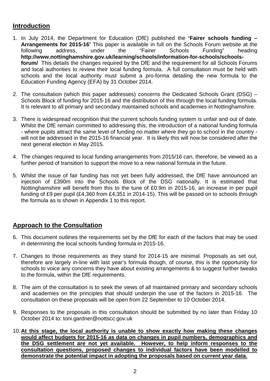# **Introduction**

- 1. In July 2014, the Department for Education (DfE) published the **'Fairer schools funding Arrangements for 2015-16'** This paper is available in full on the Schools Forum website at the following address, under the "Fairer Schools Funding" heading **http://www.nottinghamshire.gov.uk/learning/schools/information-for-schools/schoolsforum/** This details the changes required by the DfE and the requirement for all Schools Forums and local authorities to review their local funding formula. A full consultation must be held with schools and the local authority must submit a pro-forma detailing the new formula to the Education Funding Agency (EFA) by 31 October 2014.
- 2. The consultation (which this paper addresses) concerns the Dedicated Schools Grant (DSG) Schools Block of funding for 2015-16 and the distribution of this through the local funding formula. It is relevant to all primary and secondary maintained schools and academies in Nottinghamshire.
- 3. There is widespread recognition that the current schools funding system is unfair and out of date. Whilst the DfE remain committed to addressing this, the introduction of a national funding formula - where pupils attract the same level of funding no matter where they go to school in the country will not be addressed in the 2015-16 financial year. It is likely this will now be considered after the next general election in May 2015.
- 4. The changes required to local funding arrangements from 2015/16 can, therefore, be viewed as a further period of transition to support the move to a new national formula in the future.
- 5. Whilst the issue of fair funding has not yet been fully addressed, the DfE have announced an injection of £390m into the Schools Block of the DSG nationally. It is estimated that Nottinghamshire will benefit from this to the tune of £0.9m in 2015-16, an increase in per pupil funding of £9 per pupil (£4,360 from £4,351 in 2014-15). This will be passed on to schools through the formula as is shown in Appendix 1 to this report.

# **Approach to the Consultation**

- 6. This document outlines the requirements set by the DfE for each of the factors that may be used in determining the local schools funding formula in 2015-16.
- 7. Changes to those requirements as they stand for 2014-15 are minimal. Proposals as set out, therefore are largely in-line with last year's formula though, of course, this is the opportunity for schools to voice any concerns they have about existing arrangements & to suggest further tweaks to the formula, within the DfE requirements.
- 8. The aim of the consultation is to seek the views of all maintained primary and secondary schools and academies on the principles that should underpin the use of the factors in 2015-16. The consultation on these proposals will be open from 22 September to 10 October 2014.
- 9. Responses to the proposals in this consultation should be submitted by no later than Friday 10 October 2014 to: toni.gardner@nottscc.gov.uk
- 10. **At this stage, the local authority is unable to show exactly how making these changes would affect budgets for 2015-16 as data on changes in pupil numbers, demographics and the DSG settlement are not yet available. However, to help inform responses to the consultation questions, proposed changes to individual factors have been modelled to demonstrate the potential impact in adopting the proposals based on current year data.**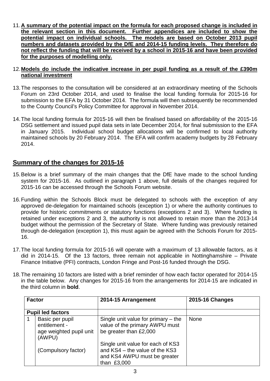11. **A summary of the potential impact on the formula for each proposed change is included in the relevant section in this document. Further appendices are included to show the potential impact on individual schools. The models are based on October 2013 pupil numbers and datasets provided by the DfE and 2014-15 funding levels. They therefore do not reflect the funding that will be received by a school in 2015-16 and have been provided for the purposes of modelling only.** 

#### 12. **Models do include the indicative increase in per pupil funding as a result of the £390m national investment**

- 13. The responses to the consultation will be considered at an extraordinary meeting of the Schools Forum on 23rd October 2014, and used to finalise the local funding formula for 2015-16 for submission to the EFA by 31 October 2014. The formula will then subsequently be recommended to the County Council's Policy Committee for approval in November 2014.
- 14. The local funding formula for 2015-16 will then be finalised based on affordability of the 2015-16 DSG settlement and issued pupil data sets in late December 2014, for final submission to the EFA in January 2015. Individual school budget allocations will be confirmed to local authority maintained schools by 20 February 2014. The EFA will confirm academy budgets by 28 February 2014.

# **Summary of the changes for 2015-16**

- 15. Below is a brief summary of the main changes that the DfE have made to the school funding system for 2015-16. As outlined in paragraph 1 above, full details of the changes required for 2015-16 can be accessed through the Schools Forum website.
- 16. Funding within the Schools Block must be delegated to schools with the exception of any approved de-delegation for maintained schools (exception 1) or where the authority continues to provide for historic commitments or statutory functions (exceptions 2 and 3). Where funding is retained under exceptions 2 and 3, the authority is not allowed to retain more than the 2013-14 budget without the permission of the Secretary of State. Where funding was previously retained through de-delegation (exception 1), this must again be agreed with the Schools Forum for 2015- 16.
- 17. The local funding formula for 2015-16 will operate with a maximum of 13 allowable factors, as it did in 2014-15. Of the 13 factors, three remain not applicable in Nottinghamshire – Private Finance Initiative (PFI) contracts, London Fringe and Post-16 funded through the DSG.
- 18. The remaining 10 factors are listed with a brief reminder of how each factor operated for 2014-15 in the table below. Any changes for 2015-16 from the arrangements for 2014-15 are indicated in the third column in **bold**.

| <b>Factor</b>            |                                                                       | 2014-15 Arrangement                                                                                                | <b>2015-16 Changes</b> |
|--------------------------|-----------------------------------------------------------------------|--------------------------------------------------------------------------------------------------------------------|------------------------|
| <b>Pupil led factors</b> |                                                                       |                                                                                                                    |                        |
|                          | Basic per pupil<br>entitlement -<br>age weighted pupil unit<br>(AWPU) | Single unit value for primary $-$ the<br>value of the primary AWPU must<br>be greater than £2,000                  | <b>None</b>            |
|                          | (Compulsory factor)                                                   | Single unit value for each of KS3<br>and KS4 - the value of the KS3<br>and KS4 AWPU must be greater<br>than £3,000 |                        |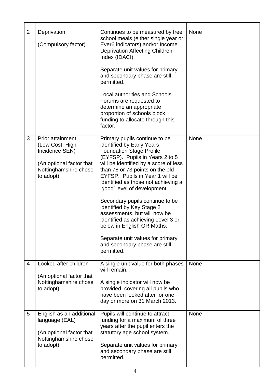| $\overline{2}$ | Deprivation<br>(Compulsory factor)                                                                                      | Continues to be measured by free<br>school meals (either single year or<br>Ever6 indicators) and/or Income<br><b>Deprivation Affecting Children</b><br>Index (IDACI).<br>Separate unit values for primary<br>and secondary phase are still<br>permitted.<br><b>Local authorities and Schools</b><br>Forums are requested to<br>determine an appropriate                                                                                                                                                                                                                       | None |
|----------------|-------------------------------------------------------------------------------------------------------------------------|-------------------------------------------------------------------------------------------------------------------------------------------------------------------------------------------------------------------------------------------------------------------------------------------------------------------------------------------------------------------------------------------------------------------------------------------------------------------------------------------------------------------------------------------------------------------------------|------|
|                |                                                                                                                         | proportion of schools block<br>funding to allocate through this<br>factor.                                                                                                                                                                                                                                                                                                                                                                                                                                                                                                    |      |
| 3              | Prior attainment<br>(Low Cost, High<br>Incidence SEN)<br>(An optional factor that<br>Nottinghamshire chose<br>to adopt) | Primary pupils continue to be<br>identified by Early Years<br><b>Foundation Stage Profile</b><br>(EYFSP). Pupils in Years 2 to 5<br>will be identified by a score of less<br>than 78 or 73 points on the old<br>EYFSP. Pupils in Year 1 will be<br>identified as those not achieving a<br>'good' level of development.<br>Secondary pupils continue to be<br>identified by Key Stage 2<br>assessments, but will now be<br>identified as achieving Level 3 or<br>below in English OR Maths.<br>Separate unit values for primary<br>and secondary phase are still<br>permitted. | None |
| 4              | Looked after children<br>(An optional factor that<br>Nottinghamshire chose<br>to adopt)                                 | A single unit value for both phases<br>will remain.<br>A single indicator will now be<br>provided, covering all pupils who<br>have been looked after for one<br>day or more on 31 March 2013.                                                                                                                                                                                                                                                                                                                                                                                 | None |
| 5              | English as an additional<br>language (EAL)<br>(An optional factor that<br>Nottinghamshire chose<br>to adopt)            | Pupils will continue to attract<br>funding for a maximum of three<br>years after the pupil enters the<br>statutory age school system.<br>Separate unit values for primary<br>and secondary phase are still<br>permitted.                                                                                                                                                                                                                                                                                                                                                      | None |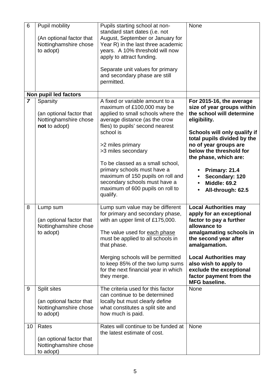| 6              | Pupil mobility<br>(An optional factor that<br>Nottinghamshire chose<br>to adopt) | Pupils starting school at non-<br>standard start dates (i.e. not<br>August, September or January for<br>Year R) in the last three academic<br>years. A 10% threshold will now<br>apply to attract funding.<br>Separate unit values for primary<br>and secondary phase are still<br>permitted.                                                                                                                            | None                                                                                                                                                                                                                                                                                                                           |
|----------------|----------------------------------------------------------------------------------|--------------------------------------------------------------------------------------------------------------------------------------------------------------------------------------------------------------------------------------------------------------------------------------------------------------------------------------------------------------------------------------------------------------------------|--------------------------------------------------------------------------------------------------------------------------------------------------------------------------------------------------------------------------------------------------------------------------------------------------------------------------------|
|                | Non pupil led factors                                                            |                                                                                                                                                                                                                                                                                                                                                                                                                          |                                                                                                                                                                                                                                                                                                                                |
| $\overline{7}$ | Sparsity<br>(an optional factor that<br>Nottinghamshire chose<br>not to adopt)   | A fixed or variable amount to a<br>maximum of £100,000 may be<br>applied to small schools where the<br>average distance (as the crow<br>flies) to pupils' second nearest<br>school is<br>>2 miles primary<br>>3 miles secondary<br>To be classed as a small school,<br>primary schools must have a<br>maximum of 150 pupils on roll and<br>secondary schools must have a<br>maximum of 600 pupils on roll to<br>qualify. | For 2015-16, the average<br>size of year groups within<br>the school will determine<br>eligibility.<br>Schools will only qualify if<br>total pupils divided by the<br>no of year groups are<br>below the threshold for<br>the phase, which are:<br>Primary: 21.4<br>Secondary: 120<br><b>Middle: 69.2</b><br>All-through: 62.5 |
| 8              | Lump sum<br>(an optional factor that<br>Nottinghamshire chose<br>to adopt)       | Lump sum value may be different<br>for primary and secondary phase,<br>with an upper limit of £175,000.<br>The value used for each phase<br>must be applied to all schools in<br>that phase.<br>Merging schools will be permitted<br>to keep 85% of the two lump sums<br>for the next financial year in which<br>they merge.                                                                                             | <b>Local Authorities may</b><br>apply for an exceptional<br>factor to pay a further<br>allowance to<br>amalgamating schools in<br>the second year after<br>amalgamation.<br><b>Local Authorities may</b><br>also wish to apply to<br>exclude the exceptional<br>factor payment from the<br><b>MFG baseline.</b>                |
| 9              | Split sites<br>(an optional factor that<br>Nottinghamshire chose<br>to adopt)    | The criteria used for this factor<br>can continue to be determined<br>locally but must clearly define<br>what constitutes a split site and<br>how much is paid.                                                                                                                                                                                                                                                          | <b>None</b>                                                                                                                                                                                                                                                                                                                    |
| 10             | Rates<br>(an optional factor that<br>Nottinghamshire chose<br>to adopt)          | Rates will continue to be funded at<br>the latest estimate of cost.                                                                                                                                                                                                                                                                                                                                                      | <b>None</b>                                                                                                                                                                                                                                                                                                                    |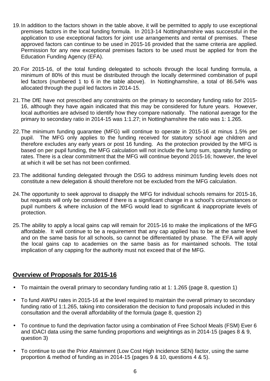- 19. In addition to the factors shown in the table above, it will be permitted to apply to use exceptional premises factors in the local funding formula. In 2013-14 Nottinghamshire was successful in the application to use exceptional factors for joint use arrangements and rental of premises. These approved factors can continue to be used in 2015-16 provided that the same criteria are applied. Permission for any new exceptional premises factors to be used must be applied for from the Education Funding Agency (EFA).
- 20. For 2015-16, of the total funding delegated to schools through the local funding formula, a minimum of 80% of this must be distributed through the locally determined combination of pupil led factors (numbered 1 to 6 in the table above). In Nottinghamshire, a total of 86.54% was allocated through the pupil led factors in 2014-15.
- 21. The DfE have not prescribed any constraints on the primary to secondary funding ratio for 2015- 16, although they have again indicated that this may be considered for future years. However, local authorities are advised to identify how they compare nationally. The national average for the primary to secondary ratio in 2014-15 was 1:1.27; in Nottinghamshire the ratio was 1: 1.265.
- 22. The minimum funding guarantee (MFG) will continue to operate in 2015-16 at minus 1.5% per pupil. The MFG only applies to the funding received for statutory school age children and therefore excludes any early years or post 16 funding. As the protection provided by the MFG is based on per pupil funding, the MFG calculation will not include the lump sum, sparsity funding or rates. There is a clear commitment that the MFG will continue beyond 2015-16; however, the level at which it will be set has not been confirmed.
- 23. The additional funding delegated through the DSG to address minimum funding levels does not constitute a new delegation & should therefore not be excluded from the MFG calculation.
- 24. The opportunity to seek approval to disapply the MFG for individual schools remains for 2015-16, but requests will only be considered if there is a significant change in a school's circumstances or pupil numbers & where inclusion of the MFG would lead to significant & inappropriate levels of protection.
- 25. The ability to apply a local gains cap will remain for 2015-16 to make the implications of the MFG affordable. It will continue to be a requirement that any cap applied has to be at the same level and on the same basis for all schools, so cannot be differentiated by phase. The EFA will apply the local gains cap to academies on the same basis as for maintained schools. The total implication of any capping for the authority must not exceed that of the MFG.

# **Overview of Proposals for 2015-16**

- To maintain the overall primary to secondary funding ratio at 1: 1.265 (page 8, question 1)
- To fund AWPU rates in 2015-16 at the level required to maintain the overall primary to secondary funding ratio of 1:1.265, taking into consideration the decision to fund proposals included in this consultation and the overall affordability of the formula (page 8, question 2)
- To continue to fund the deprivation factor using a combination of Free School Meals (FSM) Ever 6 and IDACI data using the same funding proportions and weightings as in 2014-15 (pages 8 & 9, question 3)
- To continue to use the Prior Attainment (Low Cost High Incidence SEN) factor, using the same proportion & method of funding as in 2014-15 (pages 9 & 10, questions 4 & 5).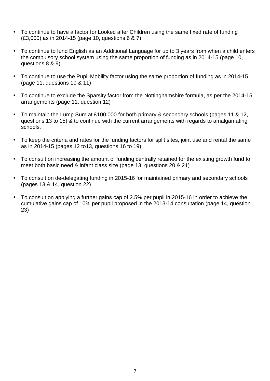- To continue to have a factor for Looked after Children using the same fixed rate of funding (£3,000) as in 2014-15 (page 10, questions 6 & 7)
- To continue to fund English as an Additional Language for up to 3 years from when a child enters the compulsory school system using the same proportion of funding as in 2014-15 (page 10, questions 8 & 9)
- To continue to use the Pupil Mobility factor using the same proportion of funding as in 2014-15 (page 11, questions 10 & 11)
- To continue to exclude the Sparsity factor from the Nottinghamshire formula, as per the 2014-15 arrangements (page 11, question 12)
- To maintain the Lump Sum at £100,000 for both primary & secondary schools (pages 11 & 12, questions 13 to 15) & to continue with the current arrangements with regards to amalgamating schools.
- To keep the criteria and rates for the funding factors for split sites, joint use and rental the same as in 2014-15 (pages 12 to13, questions 16 to 19)
- To consult on increasing the amount of funding centrally retained for the existing growth fund to meet both basic need & infant class size (page 13, questions 20 & 21)
- To consult on de-delegating funding in 2015-16 for maintained primary and secondary schools (pages 13 & 14, question 22)
- To consult on applying a further gains cap of 2.5% per pupil in 2015-16 in order to achieve the cumulative gains cap of 10% per pupil proposed in the 2013-14 consultation (page 14, question 23)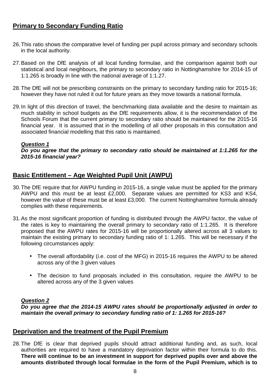# **Primary to Secondary Funding Ratio**

- 26. This ratio shows the comparative level of funding per pupil across primary and secondary schools in the local authority.
- 27. Based on the DfE analysis of all local funding formulae, and the comparison against both our statistical and local neighbours, the primary to secondary ratio in Nottinghamshire for 2014-15 of 1:1.265 is broadly in line with the national average of 1:1.27.
- 28. The DfE will not be prescribing constraints on the primary to secondary funding ratio for 2015-16; however they have not ruled it out for future years as they move towards a national formula.
- 29. In light of this direction of travel, the benchmarking data available and the desire to maintain as much stability in school budgets as the DfE requirements allow, it is the recommendation of the Schools Forum that the current primary to secondary ratio should be maintained for the 2015-16 financial year. It is assumed that in the modelling of all other proposals in this consultation and associated financial modelling that this ratio is maintained.

#### **Question 1**

#### **Do you agree that the primary to secondary ratio should be maintained at 1:1.265 for the 2015-16 financial year?**

# **Basic Entitlement – Age Weighted Pupil Unit (AWPU)**

- 30. The DfE require that for AWPU funding in 2015-16, a single value must be applied for the primary AWPU and this must be at least £2,000. Separate values are permitted for KS3 and KS4, however the value of these must be at least £3,000. The current Nottinghamshire formula already complies with these requirements.
- 31. As the most significant proportion of funding is distributed through the AWPU factor, the value of the rates is key to maintaining the overall primary to secondary ratio of 1:1.265. It is therefore proposed that the AWPU rates for 2015-16 will be proportionally altered across all 3 values to maintain the existing primary to secondary funding ratio of 1: 1.265. This will be necessary if the following circumstances apply:
	- The overall affordability (i.e. cost of the MFG) in 2015-16 requires the AWPU to be altered across any of the 3 given values
	- The decision to fund proposals included in this consultation, require the AWPU to be altered across any of the 3 given values

#### **Question 2**

**Do you agree that the 2014-15 AWPU rates should be proportionally adjusted in order to maintain the overall primary to secondary funding ratio of 1: 1.265 for 2015-16?** 

# **Deprivation and the treatment of the Pupil Premium**

28. The DfE is clear that deprived pupils should attract additional funding and, as such, local authorities are required to have a mandatory deprivation factor within their formula to do this. **There will continue to be an investment in support for deprived pupils over and above the amounts distributed through local formulae in the form of the Pupil Premium, which is to**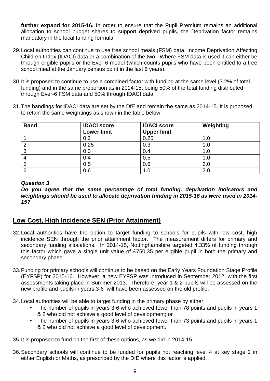**further expand for 2015-16.** In order to ensure that the Pupil Premium remains an additional allocation to school budget shares to support deprived pupils, the Deprivation factor remains mandatory in the local funding formula.

- 29. Local authorities can continue to use free school meals (FSM) data, Income Deprivation Affecting Children Index (IDACI) data or a combination of the two. Where FSM data is used it can either be through eligible pupils or the Ever 6 model (which counts pupils who have been entitled to a free school meal at the January census point in the last 6 years).
- 30. It is proposed to continue to use a combined factor with funding at the same level (3.2% of total funding) and in the same proportion as in 2014-15, being 50% of the total funding distributed through Ever-6 FSM data and 50% through IDACI data.
- 31. The bandings for IDACI data are set by the DfE and remain the same as 2014-15. It is proposed to retain the same weightings as shown in the table below:

| <b>Band</b> | <b>IDACI score</b><br><b>Lower limit</b> | <b>IDACI score</b><br><b>Upper limit</b> | Weighting |
|-------------|------------------------------------------|------------------------------------------|-----------|
|             | 0.2                                      | 0.25                                     | 1.0       |
|             | 0.25                                     | 0.3                                      | 1.0       |
| ◠<br>J      | 0.3                                      | 0.4                                      | 1.0       |
|             | 0.4                                      | 0.5                                      | 1.0       |
| b           | 0.5                                      | 0.6                                      | 2.0       |
| 6           | 0.6                                      |                                          | 2.0       |

#### **Question 3**

**Do you agree that the same percentage of total funding, deprivation indicators and weightings should be used to allocate deprivation funding in 2015-16 as were used in 2014- 15?** 

# **Low Cost, High Incidence SEN (Prior Attainment)**

- 32. Local authorities have the option to target funding to schools for pupils with low cost, high incidence SEN through the prior attainment factor. The measurement differs for primary and secondary funding allocations. In 2014-15, Nottinghamshire targeted 4.33% of funding through this factor which gave a single unit value of £750.35 per eligible pupil in both the primary and secondary phase.
- 33. Funding for primary schools will continue to be based on the Early Years Foundation Stage Profile (EYFSP) for 2015-16. However, a new EYFSP was introduced in September 2012, with the first assessments taking place in Summer 2013. Therefore, year 1 & 2 pupils will be assessed on the new profile and pupils in years 3-6 will have been assessed on the old profile.
- 34. Local authorities will be able to target funding in the primary phase by either:
	- The number of pupils in years 3-6 who achieved fewer than 78 points and pupils in years 1 & 2 who did not achieve a good level of development; or
	- The number of pupils in years 3-6 who achieved fewer than 73 points and pupils in years 1 & 2 who did not achieve a good level of development.

35. It is proposed to fund on the first of these options, as we did in 2014-15.

36. Secondary schools will continue to be funded for pupils not reaching level 4 at key stage 2 in either English or Maths, as prescribed by the DfE where this factor is applied.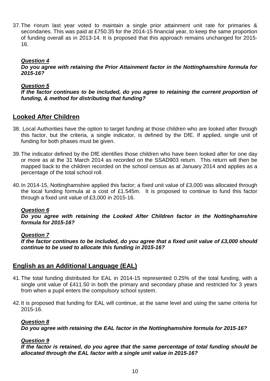37. The Forum last year voted to maintain a single prior attainment unit rate for primaries & secondaries. This was paid at £750.35 for the 2014-15 financial year, to keep the same proportion of funding overall as in 2013-14. It is proposed that this approach remains unchanged for 2015- 16.

#### **Question 4**

**Do you agree with retaining the Prior Attainment factor in the Nottinghamshire formula for 2015-16?** 

#### **Question 5**

**If the factor continues to be included, do you agree to retaining the current proportion of funding, & method for distributing that funding?** 

# **Looked After Children**

- 38. Local Authorities have the option to target funding at those children who are looked after through this factor, but the criteria, a single indicator, is defined by the DfE. If applied, single unit of funding for both phases must be given.
- 39. The indicator defined by the DfE identifies those children who have been looked after for one day or more as at the 31 March 2014 as recorded on the SSAD903 return. This return will then be mapped back to the children recorded on the school census as at January 2014 and applies as a percentage of the total school roll.
- 40. In 2014-15, Nottinghamshire applied this factor; a fixed unit value of £3,000 was allocated through the local funding formula at a cost of £1.545m. It is proposed to continue to fund this factor through a fixed unit value of £3,000 in 2015-16.

#### **Question 6**

**Do you agree with retaining the Looked After Children factor in the Nottinghamshire formula for 2015-16?** 

#### **Question 7**

**If the factor continues to be included, do you agree that a fixed unit value of £3,000 should continue to be used to allocate this funding in 2015-16?** 

### **English as an Additional Language (EAL)**

- 41. The total funding distributed for EAL in 2014-15 represented 0.25% of the total funding, with a single unit value of £411.50 in both the primary and secondary phase and restricted for 3 years from when a pupil enters the compulsory school system.
- 42. It is proposed that funding for EAL will continue, at the same level and using the same criteria for 2015-16.

#### **Question 8**

**Do you agree with retaining the EAL factor in the Nottinghamshire formula for 2015-16?** 

#### **Question 9**

**If the factor is retained, do you agree that the same percentage of total funding should be allocated through the EAL factor with a single unit value in 2015-16?**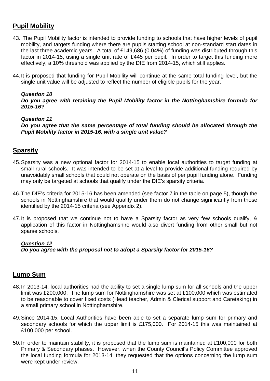# **Pupil Mobility**

- 43. The Pupil Mobility factor is intended to provide funding to schools that have higher levels of pupil mobility, and targets funding where there are pupils starting school at non-standard start dates in the last three academic years. A total of £149,686 (0.04%) of funding was distributed through this factor in 2014-15, using a single unit rate of £445 per pupil. In order to target this funding more effectively, a 10% threshold was applied by the DfE from 2014-15, which still applies.
- 44. It is proposed that funding for Pupil Mobility will continue at the same total funding level, but the single unit value will be adjusted to reflect the number of eligible pupils for the year.

#### **Question 10**

**Do you agree with retaining the Pupil Mobility factor in the Nottinghamshire formula for 2015-16?** 

#### **Question 11**

**Do you agree that the same percentage of total funding should be allocated through the Pupil Mobility factor in 2015-16, with a single unit value?** 

# **Sparsity**

- 45. Sparsity was a new optional factor for 2014-15 to enable local authorities to target funding at small rural schools. It was intended to be set at a level to provide additional funding required by unavoidably small schools that could not operate on the basis of per pupil funding alone. Funding may only be targeted at schools that qualify under the DfE's sparsity criteria.
- 46. The DfE's criteria for 2015-16 has been amended (see factor 7 in the table on page 5), though the schools in Nottinghamshire that would qualify under them do not change significantly from those identified by the 2014-15 criteria (see Appendix 2).
- 47. It is proposed that we continue not to have a Sparsity factor as very few schools qualify, & application of this factor in Nottinghamshire would also divert funding from other small but not sparse schools.

#### **Question 12**

**Do you agree with the proposal not to adopt a Sparsity factor for 2015-16?** 

# **Lump Sum**

- 48. In 2013-14, local authorities had the ability to set a single lump sum for all schools and the upper limit was £200,000. The lump sum for Nottinghamshire was set at £100,000 which was estimated to be reasonable to cover fixed costs (Head teacher, Admin & Clerical support and Caretaking) in a small primary school in Nottinghamshire.
- 49. Since 2014-15, Local Authorities have been able to set a separate lump sum for primary and secondary schools for which the upper limit is £175,000. For 2014-15 this was maintained at £100,000 per school.
- 50. In order to maintain stability, it is proposed that the lump sum is maintained at £100,000 for both Primary & Secondary phases. However, when the County Council's Policy Committee approved the local funding formula for 2013-14, they requested that the options concerning the lump sum were kept under review.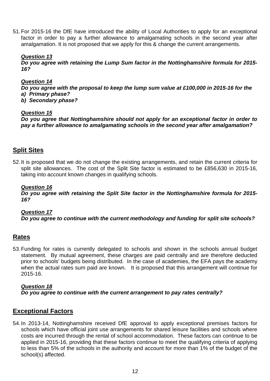51. For 2015-16 the DfE have introduced the ability of Local Authorities to apply for an exceptional factor in order to pay a further allowance to amalgamating schools in the second year after amalgamation. It is not proposed that we apply for this & change the current arrangements.

#### **Question 13**

**Do you agree with retaining the Lump Sum factor in the Nottinghamshire formula for 2015- 16?** 

#### **Question 14**

**Do you agree with the proposal to keep the lump sum value at £100,000 in 2015-16 for the a) Primary phase?** 

**b) Secondary phase?** 

#### **Question 15**

**Do you agree that Nottinghamshire should not apply for an exceptional factor in order to pay a further allowance to amalgamating schools in the second year after amalgamation?** 

# **Split Sites**

52. It is proposed that we do not change the existing arrangements, and retain the current criteria for split site allowances. The cost of the Split Site factor is estimated to be £856,630 in 2015-16, taking into account known changes in qualifying schools.

#### **Question 16**

**Do you agree with retaining the Split Site factor in the Nottinghamshire formula for 2015- 16?** 

#### **Question 17 Do you agree to continue with the current methodology and funding for split site schools?**

#### **Rates**

53. Funding for rates is currently delegated to schools and shown in the schools annual budget statement. By mutual agreement, these charges are paid centrally and are therefore deducted prior to schools' budgets being distributed. In the case of academies, the EFA pays the academy when the actual rates sum paid are known. It is proposed that this arrangement will continue for 2015-16.

#### **Question 18**

**Do you agree to continue with the current arrangement to pay rates centrally?** 

# **Exceptional Factors**

54. In 2013-14, Nottinghamshire received DfE approval to apply exceptional premises factors for schools which have official joint use arrangements for shared leisure facilities and schools where costs are incurred through the rental of school accommodation. These factors can continue to be applied in 2015-16, providing that these factors continue to meet the qualifying criteria of applying to less than 5% of the schools in the authority and account for more than 1% of the budget of the school(s) affected.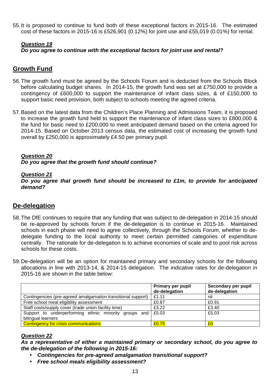55. It is proposed to continue to fund both of these exceptional factors in 2015-16. The estimated cost of these factors in 2015-16 is £526,901 (0.12%) for joint use and £55,019 (0.01%) for rental.

#### **Question 19 Do you agree to continue with the exceptional factors for joint use and rental?**

# **Growth Fund**

- 56. The growth fund must be agreed by the Schools Forum and is deducted from the Schools Block before calculating budget shares. In 2014-15, the growth fund was set at £750,000 to provide a contingency of £600,000 to support the maintenance of infant class sizes, & of £150,000 to support basic need provision, both subject to schools meeting the agreed criteria.
- 57. Based on the latest data from the Children's Place Planning and Admissions Team, it is proposed to increase the growth fund held to support the maintenance of infant class sizes to £800,000 & the fund for basic need to £200,000 to meet anticipated demand based on the criteria agreed for 2014-15. Based on October 2013 census data, the estimated cost of increasing the growth fund overall by £250,000 is approximately £4.50 per primary pupil.

#### **Question 20 Do you agree that the growth fund should continue?**

#### **Question 21**

**Do you agree that growth fund should be increased to £1m, to provide for anticipated demand?** 

# **De-delegation**

- 58. The DfE continues to require that any funding that was subject to de-delegation in 2014-15 should be re-approved by schools forum if the de-delegation is to continue in 2015-16. Maintained schools in each phase will need to agree collectively, through the Schools Forum, whether to dedelegate funding to the local authority to meet certain permitted categories of expenditure centrally. The rationale for de-delegation is to achieve economies of scale and to pool risk across schools for these costs.
- 59. De-delegation will be an option for maintained primary and secondary schools for the following allocations in line with 2013-14, & 2014-15 delegation. The indicative rates for de-delegation in 2015-16 are shown in the table below:

|                                                                             | Primary per pupil<br>de-delegation | Secondary per pupil<br>de-delegation |
|-----------------------------------------------------------------------------|------------------------------------|--------------------------------------|
| Contingencies (pre-agreed amalgamation transitional support)                | E1.11                              | nil                                  |
| Free school meal eligibility assessment                                     | £0.87                              | £0.91                                |
| Staff costs/supply cover (trade union facility time)                        | £3.22                              | £3.40                                |
| Support to underperforming ethnic minority groups and<br>bilingual learners | $\vert$ £5.03                      | £5.03                                |
| <b>Contingency for crisis communications</b>                                | £0.75                              | £С                                   |

#### **Question 22**

**As a representative of either a maintained primary or secondary school, do you agree to the de-delegation of the following in 2015-16:** 

- **Contingencies for pre-agreed amalgamation transitional support?**
- **Free school meals eligibility assessment?**